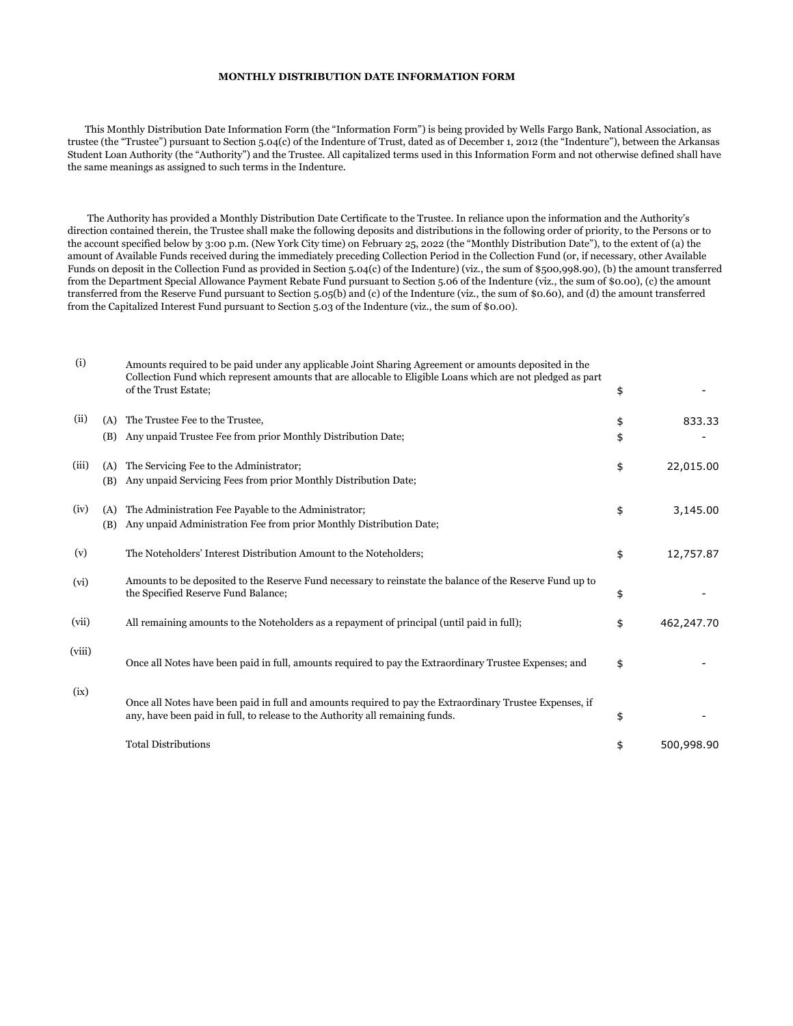## **MONTHLY DISTRIBUTION DATE INFORMATION FORM**

 This Monthly Distribution Date Information Form (the "Information Form") is being provided by Wells Fargo Bank, National Association, as trustee (the "Trustee") pursuant to Section 5.04(c) of the Indenture of Trust, dated as of December 1, 2012 (the "Indenture"), between the Arkansas Student Loan Authority (the "Authority") and the Trustee. All capitalized terms used in this Information Form and not otherwise defined shall have the same meanings as assigned to such terms in the Indenture.

 The Authority has provided a Monthly Distribution Date Certificate to the Trustee. In reliance upon the information and the Authority's direction contained therein, the Trustee shall make the following deposits and distributions in the following order of priority, to the Persons or to the account specified below by 3:00 p.m. (New York City time) on February 25, 2022 (the "Monthly Distribution Date"), to the extent of (a) the amount of Available Funds received during the immediately preceding Collection Period in the Collection Fund (or, if necessary, other Available Funds on deposit in the Collection Fund as provided in Section 5.04(c) of the Indenture) (viz., the sum of \$500,998.90), (b) the amount transferred from the Department Special Allowance Payment Rebate Fund pursuant to Section 5.06 of the Indenture (viz., the sum of \$0.00), (c) the amount transferred from the Reserve Fund pursuant to Section 5.05(b) and (c) of the Indenture (viz., the sum of \$0.60), and (d) the amount transferred from the Capitalized Interest Fund pursuant to Section 5.03 of the Indenture (viz., the sum of \$0.00).

| (i)    |            | Amounts required to be paid under any applicable Joint Sharing Agreement or amounts deposited in the<br>Collection Fund which represent amounts that are allocable to Eligible Loans which are not pledged as part<br>of the Trust Estate; | \$       |            |
|--------|------------|--------------------------------------------------------------------------------------------------------------------------------------------------------------------------------------------------------------------------------------------|----------|------------|
| (ii)   | (A)<br>(B) | The Trustee Fee to the Trustee,<br>Any unpaid Trustee Fee from prior Monthly Distribution Date;                                                                                                                                            | \$<br>\$ | 833.33     |
| (iii)  | (A)<br>(B) | The Servicing Fee to the Administrator;<br>Any unpaid Servicing Fees from prior Monthly Distribution Date;                                                                                                                                 | \$       | 22,015.00  |
| (iv)   | (A)<br>(B) | The Administration Fee Payable to the Administrator;<br>Any unpaid Administration Fee from prior Monthly Distribution Date;                                                                                                                | \$       | 3,145.00   |
| (v)    |            | The Noteholders' Interest Distribution Amount to the Noteholders;                                                                                                                                                                          | \$       | 12,757.87  |
| (vi)   |            | Amounts to be deposited to the Reserve Fund necessary to reinstate the balance of the Reserve Fund up to<br>the Specified Reserve Fund Balance;                                                                                            | \$       |            |
| (vii)  |            | All remaining amounts to the Noteholders as a repayment of principal (until paid in full);                                                                                                                                                 | \$       | 462,247.70 |
| (viii) |            | Once all Notes have been paid in full, amounts required to pay the Extraordinary Trustee Expenses; and                                                                                                                                     | \$       |            |
| (ix)   |            | Once all Notes have been paid in full and amounts required to pay the Extraordinary Trustee Expenses, if<br>any, have been paid in full, to release to the Authority all remaining funds.                                                  | \$       |            |
|        |            | <b>Total Distributions</b>                                                                                                                                                                                                                 | \$       | 500,998.90 |